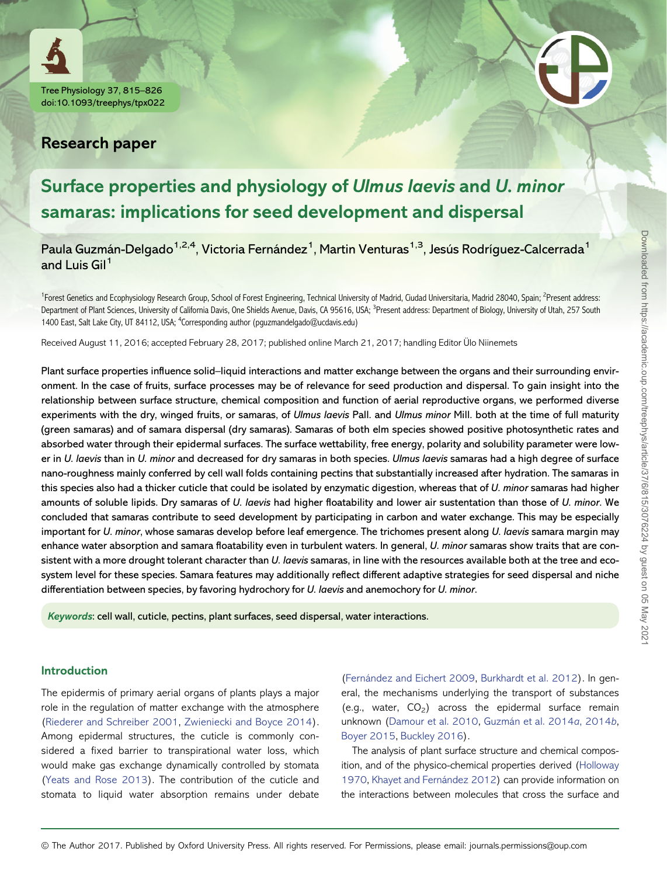



# Research paper

# Surface properties and physiology of Ulmus laevis and U. minor samaras: implications for seed development and dispersal

Paula Guzmán-Delgado<sup>1,2,4</sup>, Victoria Fernández<sup>1</sup>, Martin Venturas<sup>1,3</sup>, Jesús Rodríguez-Calcerrada<sup>1</sup> and Luis Gil<sup>1</sup>

<sup>1</sup>Forest Genetics and Ecophysiology Research Group, School of Forest Engineering, Technical University of Madrid, Ciudad Universitaria, Madrid 28040, Spain; <sup>2</sup>Present address: Department of Plant Sciences, University of California Davis, One Shields Avenue, Davis, CA 95616, USA; <sup>3</sup>Present address: Department of Biology, University of Utah, 257 South 1400 East, Salt Lake City, UT 84112, USA; <sup>4</sup>Corresponding author (pguzmandelgado@ucdavis.edu)

Received August 11, 2016; accepted February 28, 2017; published online March 21, 2017; handling Editor Ülo Niinemets

Plant surface properties influence solid–liquid interactions and matter exchange between the organs and their surrounding environment. In the case of fruits, surface processes may be of relevance for seed production and dispersal. To gain insight into the relationship between surface structure, chemical composition and function of aerial reproductive organs, we performed diverse experiments with the dry, winged fruits, or samaras, of Ulmus laevis Pall. and Ulmus minor Mill. both at the time of full maturity (green samaras) and of samara dispersal (dry samaras). Samaras of both elm species showed positive photosynthetic rates and absorbed water through their epidermal surfaces. The surface wettability, free energy, polarity and solubility parameter were lower in U. laevis than in U. minor and decreased for dry samaras in both species. Ulmus laevis samaras had a high degree of surface nano-roughness mainly conferred by cell wall folds containing pectins that substantially increased after hydration. The samaras in this species also had a thicker cuticle that could be isolated by enzymatic digestion, whereas that of U. minor samaras had higher amounts of soluble lipids. Dry samaras of U. laevis had higher floatability and lower air sustentation than those of U. minor. We concluded that samaras contribute to seed development by participating in carbon and water exchange. This may be especially important for U. minor, whose samaras develop before leaf emergence. The trichomes present along U. laevis samara margin may enhance water absorption and samara floatability even in turbulent waters. In general, U. minor samaras show traits that are consistent with a more drought tolerant character than U. laevis samaras, in line with the resources available both at the tree and ecosystem level for these species. Samara features may additionally reflect different adaptive strategies for seed dispersal and niche differentiation between species, by favoring hydrochory for U. laevis and anemochory for U. minor.

Keywords: cell wall, cuticle, pectins, plant surfaces, seed dispersal, water interactions.

#### Introduction

The epidermis of primary aerial organs of plants plays a major role in the regulation of matter exchange with the atmosphere ([Riederer and Schreiber 2001](#page-11-0), [Zwieniecki and Boyce 2014\)](#page-11-0). Among epidermal structures, the cuticle is commonly considered a fixed barrier to transpirational water loss, which would make gas exchange dynamically controlled by stomata ([Yeats and Rose 2013](#page-11-0)). The contribution of the cuticle and stomata to liquid water absorption remains under debate

([Fernández and Eichert 2009](#page-10-0), [Burkhardt et al. 2012](#page-10-0)). In general, the mechanisms underlying the transport of substances (e.g., water,  $CO<sub>2</sub>$ ) across the epidermal surface remain unknown [\(Damour et al. 2010](#page-10-0), [Guzmán et al. 2014](#page-10-0)a, 2014b, [Boyer 2015](#page-10-0), [Buckley 2016\)](#page-10-0).

The analysis of plant surface structure and chemical composition, and of the physico-chemical properties derived [\(Holloway](#page-10-0) [1970,](#page-10-0) [Khayet and Fernández 2012\)](#page-10-0) can provide information on the interactions between molecules that cross the surface and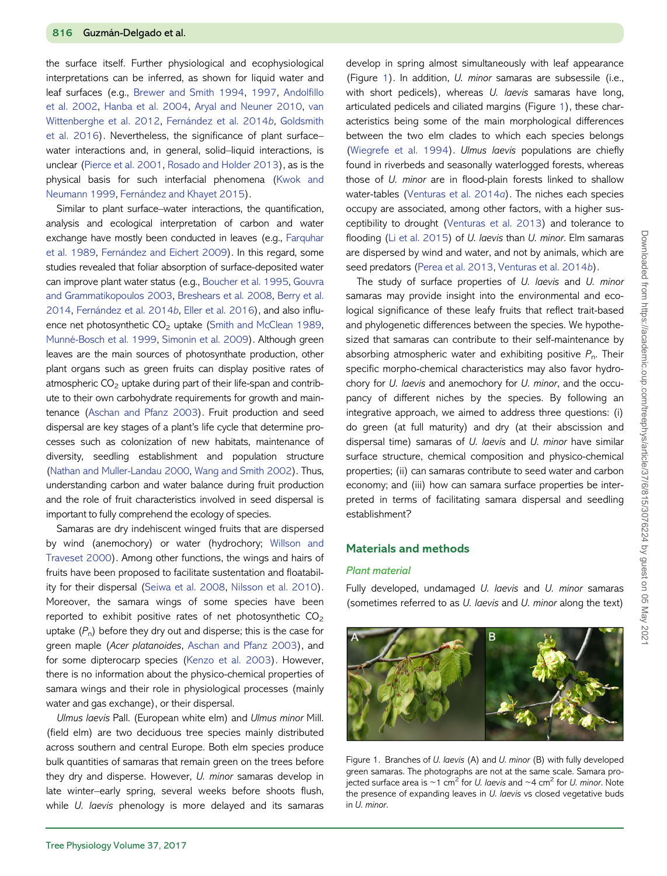<span id="page-1-0"></span>the surface itself. Further physiological and ecophysiological interpretations can be inferred, as shown for liquid water and leaf surfaces (e.g., [Brewer and Smith 1994](#page-10-0), [1997](#page-10-0), [Andol](#page-9-0)fillo [et al. 2002](#page-9-0), [Hanba et al. 2004,](#page-10-0) [Aryal and Neuner 2010,](#page-10-0) [van](#page-11-0) [Wittenberghe et al. 2012,](#page-11-0) [Fernández et al. 2014](#page-10-0)b, [Goldsmith](#page-10-0) [et al. 2016](#page-10-0)). Nevertheless, the significance of plant surface– water interactions and, in general, solid–liquid interactions, is unclear [\(Pierce et al. 2001](#page-11-0), [Rosado and Holder 2013\)](#page-11-0), as is the physical basis for such interfacial phenomena ([Kwok and](#page-11-0) [Neumann 1999](#page-11-0), [Fernández and Khayet 2015\)](#page-10-0).

Similar to plant surface–water interactions, the quantification, analysis and ecological interpretation of carbon and water exchange have mostly been conducted in leaves (e.g., [Farquhar](#page-10-0) [et al. 1989](#page-10-0), [Fernández and Eichert 2009\)](#page-10-0). In this regard, some studies revealed that foliar absorption of surface-deposited water can improve plant water status (e.g., [Boucher et al. 1995,](#page-10-0) [Gouvra](#page-10-0) [and Grammatikopoulos 2003,](#page-10-0) [Breshears et al. 2008](#page-10-0), [Berry et al.](#page-10-0) [2014](#page-10-0), [Fernández et al. 2014](#page-10-0)b, [Eller et al. 2016\)](#page-10-0), and also influ-ence net photosynthetic CO<sub>2</sub> uptake [\(Smith and McClean 1989](#page-11-0), [Munné-Bosch et al. 1999,](#page-11-0) [Simonin et al. 2009\)](#page-11-0). Although green leaves are the main sources of photosynthate production, other plant organs such as green fruits can display positive rates of atmospheric  $CO<sub>2</sub>$  uptake during part of their life-span and contribute to their own carbohydrate requirements for growth and maintenance [\(Aschan and Pfanz 2003\)](#page-10-0). Fruit production and seed dispersal are key stages of a plant's life cycle that determine processes such as colonization of new habitats, maintenance of diversity, seedling establishment and population structure ([Nathan and Muller-Landau 2000](#page-11-0), [Wang and Smith 2002\)](#page-11-0). Thus, understanding carbon and water balance during fruit production and the role of fruit characteristics involved in seed dispersal is important to fully comprehend the ecology of species.

Samaras are dry indehiscent winged fruits that are dispersed by wind (anemochory) or water (hydrochory; [Willson and](#page-11-0) [Traveset 2000\)](#page-11-0). Among other functions, the wings and hairs of fruits have been proposed to facilitate sustentation and floatability for their dispersal [\(Seiwa et al. 2008](#page-11-0), [Nilsson et al. 2010](#page-11-0)). Moreover, the samara wings of some species have been reported to exhibit positive rates of net photosynthetic  $CO<sub>2</sub>$ uptake  $(P_n)$  before they dry out and disperse; this is the case for green maple (Acer platanoides, [Aschan and Pfanz 2003](#page-10-0)), and for some dipterocarp species ([Kenzo et al. 2003](#page-10-0)). However, there is no information about the physico-chemical properties of samara wings and their role in physiological processes (mainly water and gas exchange), or their dispersal.

Ulmus laevis Pall. (European white elm) and Ulmus minor Mill. (field elm) are two deciduous tree species mainly distributed across southern and central Europe. Both elm species produce bulk quantities of samaras that remain green on the trees before they dry and disperse. However, U. minor samaras develop in late winter–early spring, several weeks before shoots flush, while U. laevis phenology is more delayed and its samaras

develop in spring almost simultaneously with leaf appearance (Figure 1). In addition, U. minor samaras are subsessile (i.e., with short pedicels), whereas U. laevis samaras have long, articulated pedicels and ciliated margins (Figure 1), these characteristics being some of the main morphological differences between the two elm clades to which each species belongs ([Wiegrefe et al. 1994\)](#page-11-0). Ulmus laevis populations are chiefly found in riverbeds and seasonally waterlogged forests, whereas those of U. minor are in flood-plain forests linked to shallow water-tables ([Venturas et al. 2014](#page-11-0)a). The niches each species occupy are associated, among other factors, with a higher susceptibility to drought [\(Venturas et al. 2013\)](#page-11-0) and tolerance to flooding ([Li et al. 2015](#page-11-0)) of *U. laevis* than *U. minor*. Elm samaras are dispersed by wind and water, and not by animals, which are seed predators [\(Perea et al. 2013,](#page-11-0) [Venturas et al. 2014](#page-11-0)b).

The study of surface properties of U. laevis and U. minor samaras may provide insight into the environmental and ecological significance of these leafy fruits that reflect trait-based and phylogenetic differences between the species. We hypothesized that samaras can contribute to their self-maintenance by absorbing atmospheric water and exhibiting positive  $P_n$ . Their specific morpho-chemical characteristics may also favor hydrochory for U. laevis and anemochory for U. minor, and the occupancy of different niches by the species. By following an integrative approach, we aimed to address three questions: (i) do green (at full maturity) and dry (at their abscission and dispersal time) samaras of U. laevis and U. minor have similar surface structure, chemical composition and physico-chemical properties; (ii) can samaras contribute to seed water and carbon economy; and (iii) how can samara surface properties be interpreted in terms of facilitating samara dispersal and seedling establishment?

#### Materials and methods

#### Plant material

Fully developed, undamaged U. laevis and U. minor samaras (sometimes referred to as U. laevis and U. minor along the text)



Figure 1. Branches of U. laevis (A) and U. minor (B) with fully developed green samaras. The photographs are not at the same scale. Samara projected surface area is  $\sim$ 1 cm<sup>2</sup> for *U. laevis* and  $\sim$ 4 cm<sup>2</sup> for *U. minor.* Note the presence of expanding leaves in U. laevis vs closed vegetative buds in U. minor.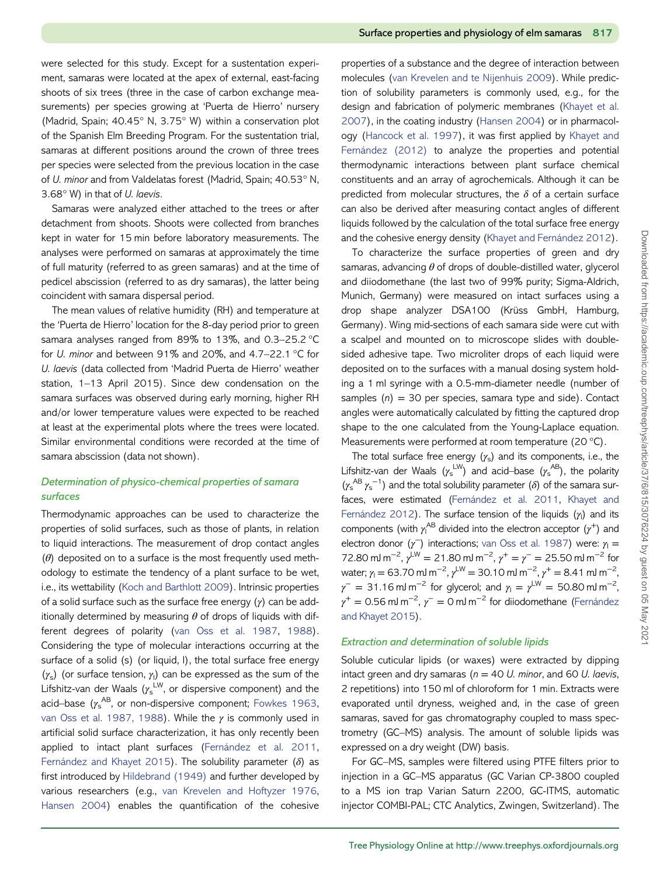were selected for this study. Except for a sustentation experiment, samaras were located at the apex of external, east-facing shoots of six trees (three in the case of carbon exchange measurements) per species growing at 'Puerta de Hierro' nursery (Madrid, Spain; 40.45° N, 3.75° W) within a conservation plot of the Spanish Elm Breeding Program. For the sustentation trial, samaras at different positions around the crown of three trees per species were selected from the previous location in the case of U. minor and from Valdelatas forest (Madrid, Spain; 40.53° N, 3.68° W) in that of U. laevis.

Samaras were analyzed either attached to the trees or after detachment from shoots. Shoots were collected from branches kept in water for 15 min before laboratory measurements. The analyses were performed on samaras at approximately the time of full maturity (referred to as green samaras) and at the time of pedicel abscission (referred to as dry samaras), the latter being coincident with samara dispersal period.

The mean values of relative humidity (RH) and temperature at the 'Puerta de Hierro' location for the 8-day period prior to green samara analyses ranged from 89% to 13%, and 0.3–25.2 °C for U. minor and between 91% and 20%, and 4.7–22.1 °C for U. laevis (data collected from 'Madrid Puerta de Hierro' weather station, 1–13 April 2015). Since dew condensation on the samara surfaces was observed during early morning, higher RH and/or lower temperature values were expected to be reached at least at the experimental plots where the trees were located. Similar environmental conditions were recorded at the time of samara abscission (data not shown).

# Determination of physico-chemical properties of samara surfaces

Thermodynamic approaches can be used to characterize the properties of solid surfaces, such as those of plants, in relation to liquid interactions. The measurement of drop contact angles  $(\theta)$  deposited on to a surface is the most frequently used methodology to estimate the tendency of a plant surface to be wet, i.e., its wettability ([Koch and Barthlott 2009\)](#page-10-0). Intrinsic properties of a solid surface such as the surface free energy  $(y)$  can be additionally determined by measuring  $\theta$  of drops of liquids with different degrees of polarity ([van Oss et al. 1987,](#page-11-0) [1988](#page-11-0)). Considering the type of molecular interactions occurring at the surface of a solid (s) (or liquid, l), the total surface free energy  $(y_s)$  (or surface tension,  $y_l$ ) can be expressed as the sum of the Lifshitz-van der Waals ( $\gamma_{\rm s}^{\rm \, LW}$ , or dispersive component) and the acid–base ( $\gamma_{\rm s}^{\rm \, AB}$ , or non-dispersive component; [Fowkes 1963,](#page-10-0) [van Oss et al. 1987, 1988\)](#page-11-0). While the  $\gamma$  is commonly used in artificial solid surface characterization, it has only recently been applied to intact plant surfaces ([Fernández et al. 2011,](#page-10-0) [Fernández and Khayet 2015](#page-10-0)). The solubility parameter  $(\delta)$  as first introduced by [Hildebrand \(1949\)](#page-10-0) and further developed by various researchers (e.g., [van Krevelen and Hoftyzer 1976,](#page-11-0) [Hansen 2004](#page-10-0)) enables the quantification of the cohesive

properties of a substance and the degree of interaction between molecules [\(van Krevelen and te Nijenhuis 2009\)](#page-11-0). While prediction of solubility parameters is commonly used, e.g., for the design and fabrication of polymeric membranes ([Khayet et al.](#page-10-0) [2007\)](#page-10-0), in the coating industry [\(Hansen 2004](#page-10-0)) or in pharmacology [\(Hancock et al. 1997](#page-10-0)), it was first applied by [Khayet and](#page-10-0) [Fernández \(2012\)](#page-10-0) to analyze the properties and potential thermodynamic interactions between plant surface chemical constituents and an array of agrochemicals. Although it can be predicted from molecular structures, the  $\delta$  of a certain surface can also be derived after measuring contact angles of different liquids followed by the calculation of the total surface free energy and the cohesive energy density ([Khayet and Fernández 2012](#page-10-0)).

To characterize the surface properties of green and dry samaras, advancing  $\theta$  of drops of double-distilled water, glycerol and diiodomethane (the last two of 99% purity; Sigma-Aldrich, Munich, Germany) were measured on intact surfaces using a drop shape analyzer DSA100 (Krüss GmbH, Hamburg, Germany). Wing mid-sections of each samara side were cut with a scalpel and mounted on to microscope slides with doublesided adhesive tape. Two microliter drops of each liquid were deposited on to the surfaces with a manual dosing system holding a 1 ml syringe with a 0.5-mm-diameter needle (number of samples  $(n) = 30$  per species, samara type and side). Contact angles were automatically calculated by fitting the captured drop shape to the one calculated from the Young-Laplace equation. Measurements were performed at room temperature (20 °C).

The total surface free energy  $(y_s)$  and its components, i.e., the Lifshitz-van der Waals  $(\gamma_{\rm s}^{\, \rm LW})$  and acid–base  $(\gamma_{\rm s}^{\, \rm AB})$ , the polarity  $(\gamma_s^{AB} \gamma_s^{-1})$  and the total solubility parameter ( $\delta$ ) of the samara surfaces, were estimated ([Fernández et al. 2011](#page-10-0), [Khayet and](#page-10-0) [Fernández 2012](#page-10-0)). The surface tension of the liquids  $(\gamma_1)$  and its components (with  $\gamma^{\text{AB}}$  divided into the electron acceptor  $(\gamma^+)$  and electron donor ( $\gamma$ <sup>-</sup>) interactions; [van Oss et al. 1987\)](#page-11-0) were:  $\gamma_1 =$ 72.80 mJ m<sup>-2</sup>,  $\gamma^{\text{LW}} = 21.80 \text{ mJ m}^{-2}$ ,  $\gamma^+ = \gamma^- = 25.50 \text{ mJ m}^{-2}$  for water;  $\gamma_1$  = 63.70 mJ m<sup>-2</sup>,  $\gamma^{LW}$  = 30.10 mJ m<sup>-2</sup>,  $\gamma^+$  = 8.41 mJ m<sup>-2</sup>,  $\gamma^- = 31.16$  mJ m<sup>-2</sup> for glycerol; and  $\gamma_1 = \gamma^{\text{LW}} = 50.80$  mJ m<sup>-2</sup>,  $\gamma^+=$  0.56 mJ m<sup>-2</sup>,  $\gamma^-=$  0 mJ m<sup>-2</sup> for diiodomethane [\(Fernández](#page-10-0) [and Khayet 2015\)](#page-10-0).

#### Extraction and determination of soluble lipids

Soluble cuticular lipids (or waxes) were extracted by dipping intact green and dry samaras ( $n = 40$  U. minor, and 60 U. laevis, 2 repetitions) into 150 ml of chloroform for 1 min. Extracts were evaporated until dryness, weighed and, in the case of green samaras, saved for gas chromatography coupled to mass spectrometry (GC–MS) analysis. The amount of soluble lipids was expressed on a dry weight (DW) basis.

For GC–MS, samples were filtered using PTFE filters prior to injection in a GC–MS apparatus (GC Varian CP-3800 coupled to a MS ion trap Varian Saturn 2200, GC-ITMS, automatic injector COMBI-PAL; CTC Analytics, Zwingen, Switzerland). The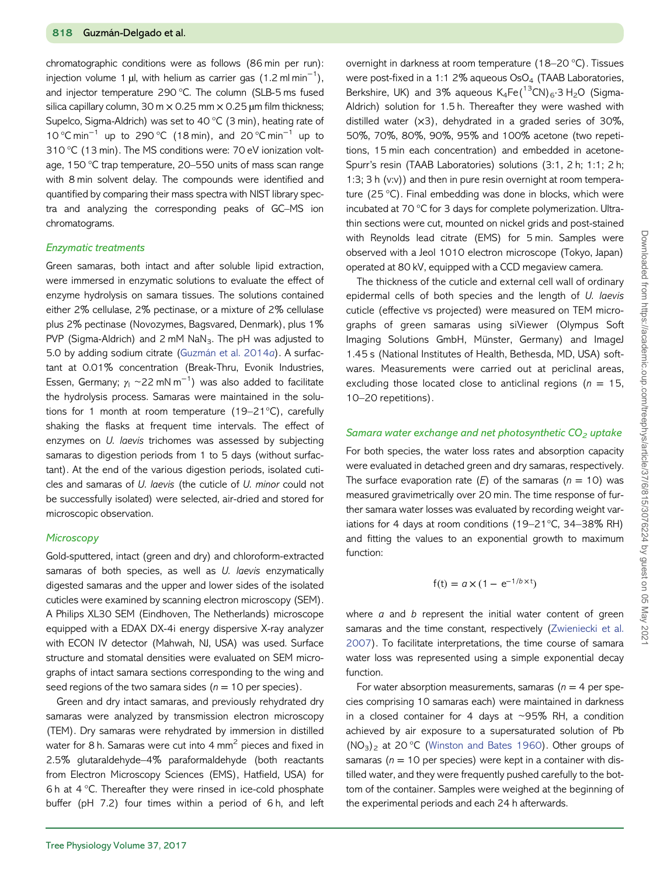chromatographic conditions were as follows (86 min per run): injection volume 1 µl, with helium as carrier gas (1.2 ml $\,$ min $^{-1})$ , and injector temperature 290 °C. The column (SLB-5 ms fused silica capillary column, 30 m  $\times$  0.25 mm  $\times$  0.25 µm film thickness; Supelco, Sigma-Aldrich) was set to 40 °C (3 min), heating rate of 10 °C min−<sup>1</sup> up to 290 °C (18 min), and 20 °C min−<sup>1</sup> up to 310 °C (13 min). The MS conditions were: 70 eV ionization voltage, 150 °C trap temperature, 20–550 units of mass scan range with 8 min solvent delay. The compounds were identified and quantified by comparing their mass spectra with NIST library spectra and analyzing the corresponding peaks of GC–MS ion chromatograms.

#### Enzymatic treatments

Green samaras, both intact and after soluble lipid extraction, were immersed in enzymatic solutions to evaluate the effect of enzyme hydrolysis on samara tissues. The solutions contained either 2% cellulase, 2% pectinase, or a mixture of 2% cellulase plus 2% pectinase (Novozymes, Bagsvared, Denmark), plus 1% PVP (Sigma-Aldrich) and 2 mM  $N_3$ . The pH was adjusted to 5.0 by adding sodium citrate [\(Guzmán et al. 2014](#page-10-0)a). A surfactant at 0.01% concentration (Break-Thru, Evonik Industries, Essen, Germany;  $\gamma_\text{l}\simeq$ 22 mN m $^{-1})$  was also added to facilitate the hydrolysis process. Samaras were maintained in the solutions for 1 month at room temperature (19–21°C), carefully shaking the flasks at frequent time intervals. The effect of enzymes on U. laevis trichomes was assessed by subjecting samaras to digestion periods from 1 to 5 days (without surfactant). At the end of the various digestion periods, isolated cuticles and samaras of U. laevis (the cuticle of U. minor could not be successfully isolated) were selected, air-dried and stored for microscopic observation.

#### **Microscopy**

Gold-sputtered, intact (green and dry) and chloroform-extracted samaras of both species, as well as U. laevis enzymatically digested samaras and the upper and lower sides of the isolated cuticles were examined by scanning electron microscopy (SEM). A Philips XL30 SEM (Eindhoven, The Netherlands) microscope equipped with a EDAX DX-4i energy dispersive X-ray analyzer with ECON IV detector (Mahwah, NJ, USA) was used. Surface structure and stomatal densities were evaluated on SEM micrographs of intact samara sections corresponding to the wing and seed regions of the two samara sides ( $n = 10$  per species).

Green and dry intact samaras, and previously rehydrated dry samaras were analyzed by transmission electron microscopy (TEM). Dry samaras were rehydrated by immersion in distilled water for 8 h. Samaras were cut into 4 mm<sup>2</sup> pieces and fixed in 2.5% glutaraldehyde–4% paraformaldehyde (both reactants from Electron Microscopy Sciences (EMS), Hatfield, USA) for 6 h at 4 °C. Thereafter they were rinsed in ice-cold phosphate buffer (pH 7.2) four times within a period of 6 h, and left overnight in darkness at room temperature (18–20 °C). Tissues were post-fixed in a 1:1 2% aqueous  $OsO<sub>4</sub>$  (TAAB Laboratories, Berkshire, UK) and 3% aqueous  $K_4Fe(^{13}CN)_6.3 H_2O$  (Sigma-Aldrich) solution for 1.5 h. Thereafter they were washed with distilled water  $(x3)$ , dehydrated in a graded series of 30%, 50%, 70%, 80%, 90%, 95% and 100% acetone (two repetitions, 15 min each concentration) and embedded in acetone-Spurr's resin (TAAB Laboratories) solutions (3:1, 2 h; 1:1; 2 h; 1:3; 3 h (v:v)) and then in pure resin overnight at room temperature (25 °C). Final embedding was done in blocks, which were incubated at 70 °C for 3 days for complete polymerization. Ultrathin sections were cut, mounted on nickel grids and post-stained with Reynolds lead citrate (EMS) for 5 min. Samples were observed with a Jeol 1010 electron microscope (Tokyo, Japan) operated at 80 kV, equipped with a CCD megaview camera.

The thickness of the cuticle and external cell wall of ordinary epidermal cells of both species and the length of U. laevis cuticle (effective vs projected) were measured on TEM micrographs of green samaras using siViewer (Olympus Soft Imaging Solutions GmbH, Münster, Germany) and ImageJ 1.45 s (National Institutes of Health, Bethesda, MD, USA) softwares. Measurements were carried out at periclinal areas, excluding those located close to anticlinal regions ( $n = 15$ , 10–20 repetitions).

#### Samara water exchange and net photosynthetic  $CO<sub>2</sub>$  uptake

For both species, the water loss rates and absorption capacity were evaluated in detached green and dry samaras, respectively. The surface evaporation rate  $(E)$  of the samaras  $(n = 10)$  was measured gravimetrically over 20 min. The time response of further samara water losses was evaluated by recording weight variations for 4 days at room conditions (19–21°C, 34–38% RH) and fitting the values to an exponential growth to maximum function:

$$
f(t) = a \times (1 - e^{-1/b \times t})
$$

where  $a$  and  $b$  represent the initial water content of green samaras and the time constant, respectively [\(Zwieniecki et al.](#page-11-0) [2007\)](#page-11-0). To facilitate interpretations, the time course of samara water loss was represented using a simple exponential decay function.

For water absorption measurements, samaras ( $n = 4$  per species comprising 10 samaras each) were maintained in darkness in a closed container for 4 days at  $\sim$ 95% RH, a condition achieved by air exposure to a supersaturated solution of Pb  $(NO<sub>3</sub>)<sub>2</sub>$  at 20 °C ([Winston and Bates 1960\)](#page-11-0). Other groups of samaras ( $n = 10$  per species) were kept in a container with distilled water, and they were frequently pushed carefully to the bottom of the container. Samples were weighed at the beginning of the experimental periods and each 24 h afterwards.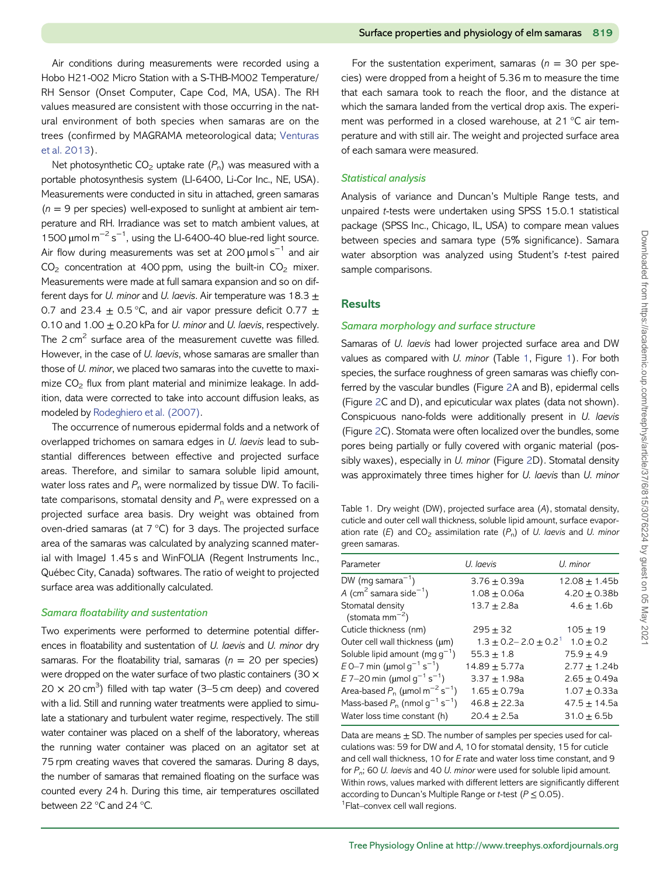<span id="page-4-0"></span>Air conditions during measurements were recorded using a Hobo H21-002 Micro Station with a S-THB-M002 Temperature/ RH Sensor (Onset Computer, Cape Cod, MA, USA). The RH values measured are consistent with those occurring in the natural environment of both species when samaras are on the trees (confirmed by MAGRAMA meteorological data; [Venturas](#page-11-0) [et al. 2013\)](#page-11-0).

Net photosynthetic  $CO<sub>2</sub>$  uptake rate  $(P<sub>n</sub>)$  was measured with a portable photosynthesis system (LI-6400, Li-Cor Inc., NE, USA). Measurements were conducted in situ in attached, green samaras  $(n = 9$  per species) well-exposed to sunlight at ambient air temperature and RH. Irradiance was set to match ambient values, at 1500  $\mu$ mol m<sup>-2</sup> s<sup>-1</sup>, using the LI-6400-40 blue-red light source. Air flow during measurements was set at 200  $\mu$ mol s<sup>-1</sup> and air  $CO<sub>2</sub>$  concentration at 400 ppm, using the built-in  $CO<sub>2</sub>$  mixer. Measurements were made at full samara expansion and so on different days for U. minor and U. laevis. Air temperature was  $18.3 \pm$ 0.7 and 23.4  $\pm$  0.5 °C, and air vapor pressure deficit 0.77  $\pm$ 0.10 and 1.00  $\pm$  0.20 kPa for *U. minor* and *U. laevis*, respectively. The  $2 \text{ cm}^2$  surface area of the measurement cuvette was filled. However, in the case of U. laevis, whose samaras are smaller than those of U. minor, we placed two samaras into the cuvette to maximize  $CO<sub>2</sub>$  flux from plant material and minimize leakage. In addition, data were corrected to take into account diffusion leaks, as modeled by [Rodeghiero et al. \(2007\).](#page-11-0)

The occurrence of numerous epidermal folds and a network of overlapped trichomes on samara edges in U. laevis lead to substantial differences between effective and projected surface areas. Therefore, and similar to samara soluble lipid amount, water loss rates and  $P_n$  were normalized by tissue DW. To facilitate comparisons, stomatal density and  $P_n$  were expressed on a projected surface area basis. Dry weight was obtained from oven-dried samaras (at 7 °C) for 3 days. The projected surface area of the samaras was calculated by analyzing scanned material with ImageJ 1.45 s and WinFOLIA (Regent Instruments Inc., Québec City, Canada) softwares. The ratio of weight to projected surface area was additionally calculated.

#### Samara floatability and sustentation

Two experiments were performed to determine potential differences in floatability and sustentation of U. laevis and U. minor dry samaras. For the floatability trial, samaras ( $n = 20$  per species) were dropped on the water surface of two plastic containers (30 ×  $20 \times 20$  cm<sup>3</sup>) filled with tap water (3–5 cm deep) and covered with a lid. Still and running water treatments were applied to simulate a stationary and turbulent water regime, respectively. The still water container was placed on a shelf of the laboratory, whereas the running water container was placed on an agitator set at 75 rpm creating waves that covered the samaras. During 8 days, the number of samaras that remained floating on the surface was counted every 24 h. During this time, air temperatures oscillated between 22 °C and 24 °C.

For the sustentation experiment, samaras ( $n = 30$  per species) were dropped from a height of 5.36 m to measure the time that each samara took to reach the floor, and the distance at which the samara landed from the vertical drop axis. The experiment was performed in a closed warehouse, at 21 °C air temperature and with still air. The weight and projected surface area of each samara were measured.

#### Statistical analysis

Analysis of variance and Duncan's Multiple Range tests, and unpaired t-tests were undertaken using SPSS 15.0.1 statistical package (SPSS Inc., Chicago, IL, USA) to compare mean values between species and samara type (5% significance). Samara water absorption was analyzed using Student's t-test paired sample comparisons.

# **Results**

#### Samara morphology and surface structure

Samaras of U. laevis had lower projected surface area and DW values as compared with U. minor (Table 1, Figure [1\)](#page-1-0). For both species, the surface roughness of green samaras was chiefly conferred by the vascular bundles (Figure [2A](#page-5-0) and B), epidermal cells (Figure [2C](#page-5-0) and D), and epicuticular wax plates (data not shown). Conspicuous nano-folds were additionally present in U. laevis (Figure [2](#page-5-0)C). Stomata were often localized over the bundles, some pores being partially or fully covered with organic material (pos-sibly waxes), especially in U. minor (Figure [2D](#page-5-0)). Stomatal density was approximately three times higher for U. laevis than U. minor

Table 1. Dry weight (DW), projected surface area (A), stomatal density, cuticle and outer cell wall thickness, soluble lipid amount, surface evaporation rate (E) and  $CO_2$  assimilation rate ( $P_n$ ) of U. laevis and U. minor green samaras.

| Parameter                                                    | U. laevis               | U. minor          |
|--------------------------------------------------------------|-------------------------|-------------------|
| DW (mg samara <sup>-1</sup> )                                | $3.76 \pm 0.39a$        | $12.08 \pm 1.45b$ |
| A (cm <sup>2</sup> samara side <sup>-1</sup> )               | $1.08 \pm 0.06a$        | $4.20 \pm 0.38$ b |
| Stomatal density<br>(stomata mm <sup><math>-2</math></sup> ) | 13.7 $\pm$ 2.8a         | $4.6 \pm 1.6$ b   |
| Cuticle thickness (nm)                                       | $295 + 32$              | $105 + 19$        |
| Outer cell wall thickness (um)                               | $1.3 + 0.2 - 2.0 + 0.2$ | $1.0 + 0.2$       |
| Soluble lipid amount (mg $g^{-1}$ )                          | $55.3 \pm 1.8$          | $75.9 + 4.9$      |
| $E 0-7$ min (µmol $g^{-1}$ s <sup>-1</sup> )                 | 14.89 $\pm$ 5.77a       | $2.77 \pm 1.24$ b |
| E 7-20 min ( $\mu$ mol g <sup>-1</sup> s <sup>-1</sup> )     | $3.37 + 1.98a$          | $2.65 + 0.49a$    |
| Area-based $P_n$ (µmol m <sup>-2</sup> s <sup>-1</sup> )     | $1.65 \pm 0.79a$        | $1.07 + 0.33a$    |
| Mass-based $P_n$ (nmol $g^{-1}$ s <sup>-1</sup> )            | $46.8 + 22.3a$          | $47.5 + 14.5a$    |
| Water loss time constant (h)                                 | $20.4 + 2.5a$           | $31.0 + 6.5b$     |

Data are means  $\pm$  SD. The number of samples per species used for calculations was: 59 for DW and A, 10 for stomatal density, 15 for cuticle and cell wall thickness, 10 for E rate and water loss time constant, and 9 for  $P_n$ ; 60 U. laevis and 40 U. minor were used for soluble lipid amount. Within rows, values marked with different letters are significantly different according to Duncan's Multiple Range or t-test ( $P \le 0.05$ ). <sup>1</sup> Flat–convex cell wall regions.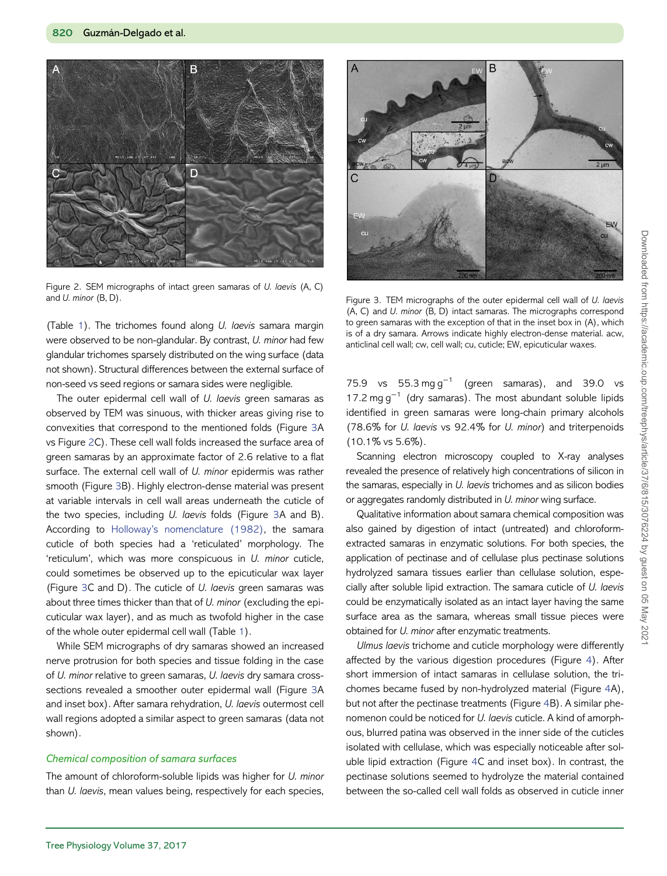<span id="page-5-0"></span>

Figure 2. SEM micrographs of intact green samaras of U. laevis (A, C) and U. minor (B, D). The state of the outer epidermal cell wall of U. laevis of the outer epidermal cell wall of U. laevis

(Table [1](#page-4-0)). The trichomes found along U. laevis samara margin were observed to be non-glandular. By contrast, U. minor had few glandular trichomes sparsely distributed on the wing surface (data not shown). Structural differences between the external surface of non-seed vs seed regions or samara sides were negligible.

The outer epidermal cell wall of U. laevis green samaras as observed by TEM was sinuous, with thicker areas giving rise to convexities that correspond to the mentioned folds (Figure 3A vs Figure 2C). These cell wall folds increased the surface area of green samaras by an approximate factor of 2.6 relative to a flat surface. The external cell wall of U. minor epidermis was rather smooth (Figure 3B). Highly electron-dense material was present at variable intervals in cell wall areas underneath the cuticle of the two species, including *U. laevis* folds (Figure 3A and B). According to Holloway'[s nomenclature \(1982\),](#page-10-0) the samara cuticle of both species had a 'reticulated' morphology. The 'reticulum', which was more conspicuous in U. minor cuticle, could sometimes be observed up to the epicuticular wax layer (Figure 3C and D). The cuticle of U. laevis green samaras was about three times thicker than that of U. minor (excluding the epicuticular wax layer), and as much as twofold higher in the case of the whole outer epidermal cell wall (Table [1\)](#page-4-0).

While SEM micrographs of dry samaras showed an increased nerve protrusion for both species and tissue folding in the case of U. minor relative to green samaras, U. laevis dry samara crosssections revealed a smoother outer epidermal wall (Figure 3A and inset box). After samara rehydration, U. laevis outermost cell wall regions adopted a similar aspect to green samaras (data not shown).

#### Chemical composition of samara surfaces

The amount of chloroform-soluble lipids was higher for U. minor than U. laevis, mean values being, respectively for each species,



(A, C) and U. minor (B, D) intact samaras. The micrographs correspond to green samaras with the exception of that in the inset box in (A), which is of a dry samara. Arrows indicate highly electron-dense material. acw, anticlinal cell wall; cw, cell wall; cu, cuticle; EW, epicuticular waxes.

75.9 vs 55.3 mg g<sup>-1</sup> (green samaras), and 39.0 vs 17.2 mg  $g^{-1}$  (dry samaras). The most abundant soluble lipids identified in green samaras were long-chain primary alcohols (78.6% for U. laevis vs 92.4% for U. minor) and triterpenoids (10.1% vs 5.6%).

Scanning electron microscopy coupled to X-ray analyses revealed the presence of relatively high concentrations of silicon in the samaras, especially in U. laevis trichomes and as silicon bodies or aggregates randomly distributed in U. minor wing surface.

Qualitative information about samara chemical composition was also gained by digestion of intact (untreated) and chloroformextracted samaras in enzymatic solutions. For both species, the application of pectinase and of cellulase plus pectinase solutions hydrolyzed samara tissues earlier than cellulase solution, especially after soluble lipid extraction. The samara cuticle of U. laevis could be enzymatically isolated as an intact layer having the same surface area as the samara, whereas small tissue pieces were obtained for U. minor after enzymatic treatments.

Ulmus laevis trichome and cuticle morphology were differently affected by the various digestion procedures (Figure [4\)](#page-6-0). After short immersion of intact samaras in cellulase solution, the trichomes became fused by non-hydrolyzed material (Figure [4A](#page-6-0)), but not after the pectinase treatments (Figure [4B](#page-6-0)). A similar phenomenon could be noticed for U. laevis cuticle. A kind of amorphous, blurred patina was observed in the inner side of the cuticles isolated with cellulase, which was especially noticeable after soluble lipid extraction (Figure [4C](#page-6-0) and inset box). In contrast, the pectinase solutions seemed to hydrolyze the material contained between the so-called cell wall folds as observed in cuticle inner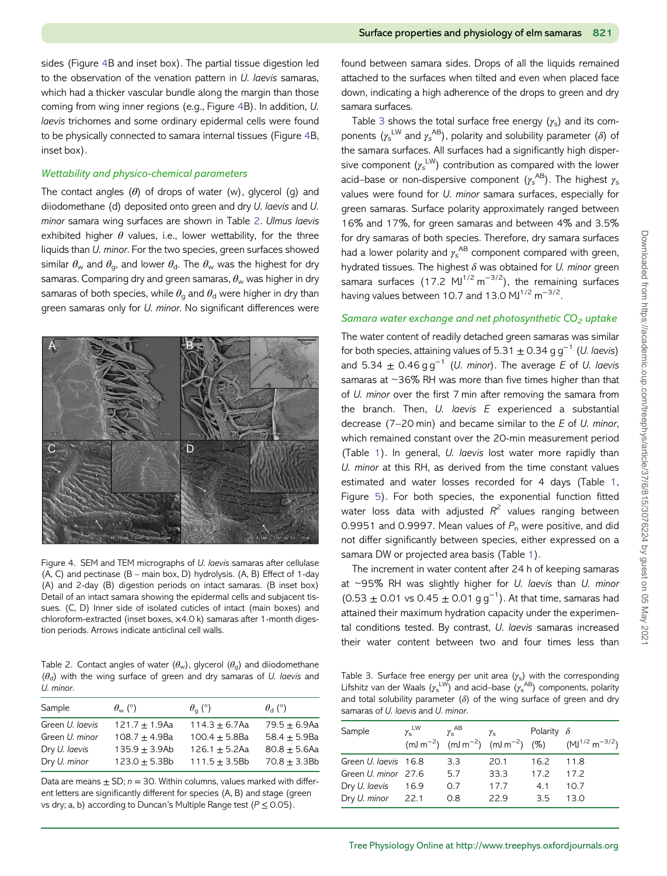<span id="page-6-0"></span>sides (Figure 4B and inset box). The partial tissue digestion led to the observation of the venation pattern in U. laevis samaras, which had a thicker vascular bundle along the margin than those coming from wing inner regions (e.g., Figure 4B). In addition, U. laevis trichomes and some ordinary epidermal cells were found to be physically connected to samara internal tissues (Figure 4B, inset box).

#### Wettability and physico-chemical parameters

The contact angles  $(\theta)$  of drops of water (w), glycerol (g) and diiodomethane (d) deposited onto green and dry U. laevis and U. minor samara wing surfaces are shown in Table 2. Ulmus laevis exhibited higher  $\theta$  values, i.e., lower wettability, for the three liquids than U. minor. For the two species, green surfaces showed similar  $\theta_{w}$  and  $\theta_{q}$ , and lower  $\theta_{d}$ . The  $\theta_{w}$  was the highest for dry samaras. Comparing dry and green samaras,  $\theta_w$  was higher in dry samaras of both species, while  $\theta_{q}$  and  $\theta_{d}$  were higher in dry than green samaras only for U. minor. No significant differences were



Figure 4. SEM and TEM micrographs of U. laevis samaras after cellulase  $(A, C)$  and pectinase  $(B - \text{main box}, D)$  hydrolysis.  $(A, B)$  Effect of 1-day (A) and 2-day (B) digestion periods on intact samaras. (B inset box) Detail of an intact samara showing the epidermal cells and subjacent tissues. (C, D) Inner side of isolated cuticles of intact (main boxes) and chloroform-extracted (inset boxes, ×4.0 k) samaras after 1-month digestion periods. Arrows indicate anticlinal cell walls.

Table 2. Contact angles of water  $(\theta_w)$ , glycerol  $(\theta_q)$  and diiodomethane  $(\theta_d)$  with the wing surface of green and dry samaras of U. laevis and U. minor.

| $\theta_{\rm w}$ (°) | $\theta_{\alpha}$ (°) | $\theta_{\rm d}$ (°) |
|----------------------|-----------------------|----------------------|
| $121.7 + 1.9$ Aa     | $114.3 + 6.7$ Aa      | $79.5 + 6.9$ Aa      |
| $108.7 + 4.9Ba$      | $100.4 + 5.8$ Ba      | $58.4 + 5.9$ Ba      |
| $135.9 + 3.9Ab$      | $126.1 + 5.2$ Aa      | $80.8 + 5.6$ Aa      |
| $123.0 + 5.3Bb$      | $111.5 + 3.5Bb$       | $70.8 + 3.3Bb$       |
|                      |                       |                      |

Data are means  $\pm$  SD;  $n = 30$ . Within columns, values marked with different letters are significantly different for species (A, B) and stage (green vs dry; a, b) according to Duncan's Multiple Range test ( $P \le 0.05$ ).

found between samara sides. Drops of all the liquids remained attached to the surfaces when tilted and even when placed face down, indicating a high adherence of the drops to green and dry samara surfaces.

Table 3 shows the total surface free energy  $(y_s)$  and its components ( $\gamma_s^{\text{LW}}$  and  $\gamma_s^{\text{AB}}$ ), polarity and solubility parameter ( $\delta$ ) of the samara surfaces. All surfaces had a significantly high dispersive component  $(\gamma_s^{\text{LW}})$  contribution as compared with the lower acid–base or non-dispersive component  $(\gamma_{\rm s}^{\rm \, AB})$ . The highest  $\gamma_{\rm s}$ values were found for U. minor samara surfaces, especially for green samaras. Surface polarity approximately ranged between 16% and 17%, for green samaras and between 4% and 3.5% for dry samaras of both species. Therefore, dry samara surfaces had a lower polarity and  $\gamma_{\rm s}^{\rm \, AB}$  component compared with green, hydrated tissues. The highest  $\delta$  was obtained for U. minor green samara surfaces (17.2 MJ<sup>1/2</sup> m<sup>-3/2</sup>), the remaining surfaces having values between 10.7 and 13.0 MJ $^{1/2}$  m<sup>-3/2</sup>.

#### Samara water exchange and net photosynthetic  $CO<sub>2</sub>$  uptake

The water content of readily detached green samaras was similar for both species, attaining values of 5.31  $\pm$  0.34 g g<sup>-1</sup> (*U. laevis*) and 5.34  $\pm$  0.46 g g<sup>-1</sup> (*U. minor*). The average E of *U. laevis* samaras at ~36% RH was more than five times higher than that of U. minor over the first 7 min after removing the samara from the branch. Then,  $U$ . laevis  $E$  experienced a substantial decrease  $(7-20 \text{ min})$  and became similar to the  $E$  of  $U$ . minor, which remained constant over the 20-min measurement period (Table [1](#page-4-0)). In general, U. laevis lost water more rapidly than U. minor at this RH, as derived from the time constant values estimated and water losses recorded for 4 days (Table [1,](#page-4-0) Figure [5](#page-7-0)). For both species, the exponential function fitted water loss data with adjusted  $R^2$  values ranging between 0.9951 and 0.9997. Mean values of  $P_n$  were positive, and did not differ significantly between species, either expressed on a samara DW or projected area basis (Table [1](#page-4-0)).

The increment in water content after 24 h of keeping samaras at  $\sim$ 95% RH was slightly higher for U. laevis than U. minor  $(0.53 \pm 0.01 \text{ vs } 0.45 \pm 0.01 \text{ g g}^{-1})$ . At that time, samaras had attained their maximum hydration capacity under the experimental conditions tested. By contrast, U. laevis samaras increased their water content between two and four times less than

Table 3. Surface free energy per unit area  $(\gamma_s)$  with the corresponding Lifshitz van der Waals ( $\gamma_{\rm s}^{\rm \perp W}$ ) and acid–base ( $\gamma_{\rm s}^{\rm \, AB}$ ) components, polarity and total solubility parameter  $(\delta)$  of the wing surface of green and dry samaras of U. laevis and U. minor.

| Sample               | $\gamma_{\rm s}^{\rm LW}$ | $\gamma_{\rm s}^{\rm AB}$ | $\gamma_{\rm s}$ | Polarity $\delta$ | (mJ m <sup>-2</sup> ) (mJ m <sup>-2</sup> ) (mJ m <sup>-2</sup> ) (%) (MJ <sup>1/2</sup> m <sup>-3/2</sup> ) |
|----------------------|---------------------------|---------------------------|------------------|-------------------|--------------------------------------------------------------------------------------------------------------|
| Green U. laevis 16.8 |                           | 3.3                       | 20.1             | 16.2              | 11.8                                                                                                         |
| Green U. minor 27.6  |                           | 5.7                       | 33.3             | 17.2              | 17.2                                                                                                         |
| Dry U. laevis        | - 16.9                    | O.7                       | 17.7             | 4.1               | 10.7                                                                                                         |
| Dry U. minor 22.1    |                           | O.8                       | 22.9             | 3.5               | 13.0                                                                                                         |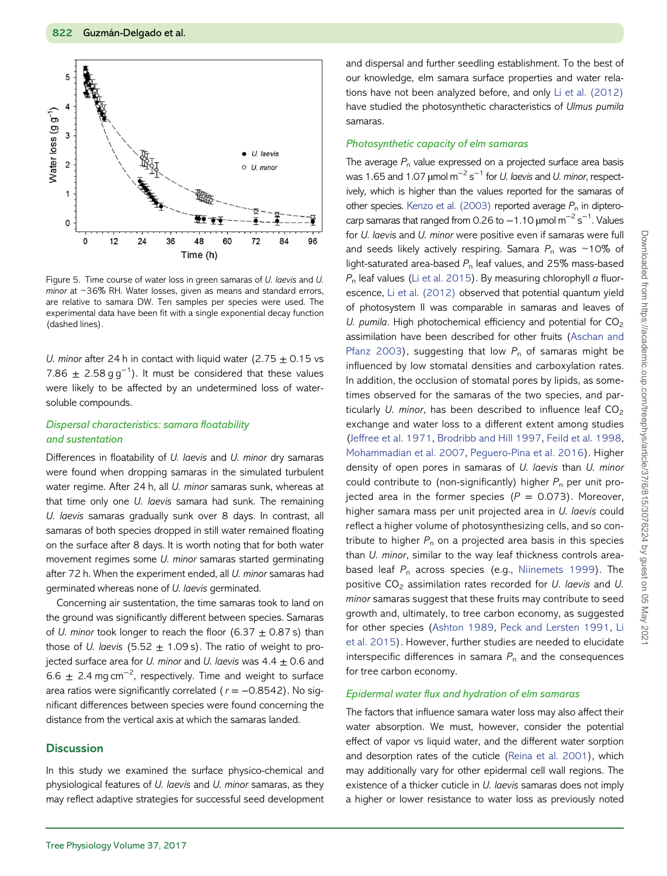<span id="page-7-0"></span>

Figure 5. Time course of water loss in green samaras of U. laevis and U. minor at ~36% RH. Water losses, given as means and standard errors, are relative to samara DW. Ten samples per species were used. The experimental data have been fit with a single exponential decay function (dashed lines).

U. minor after 24 h in contact with liquid water (2.75  $\pm$  0.15 vs 7.86  $\pm$  2.58 g g<sup>-1</sup>). It must be considered that these values were likely to be affected by an undetermined loss of watersoluble compounds.

## Dispersal characteristics: samara floatability and sustentation

Differences in floatability of U. laevis and U. minor dry samaras were found when dropping samaras in the simulated turbulent water regime. After 24 h, all U. minor samaras sunk, whereas at that time only one U. laevis samara had sunk. The remaining U. laevis samaras gradually sunk over 8 days. In contrast, all samaras of both species dropped in still water remained floating on the surface after 8 days. It is worth noting that for both water movement regimes some U. minor samaras started germinating after 72 h. When the experiment ended, all U. minor samaras had germinated whereas none of U. laevis germinated.

Concerning air sustentation, the time samaras took to land on the ground was significantly different between species. Samaras of U. minor took longer to reach the floor (6.37  $\pm$  0.87 s) than those of U. laevis (5.52  $\pm$  1.09 s). The ratio of weight to projected surface area for U. minor and U. laevis was  $4.4 \pm 0.6$  and 6.6  $\pm$  2.4 mg cm<sup>-2</sup>, respectively. Time and weight to surface area ratios were significantly correlated ( $r = -0.8542$ ). No significant differences between species were found concerning the distance from the vertical axis at which the samaras landed.

#### **Discussion**

In this study we examined the surface physico-chemical and physiological features of U. laevis and U. minor samaras, as they may reflect adaptive strategies for successful seed development

and dispersal and further seedling establishment. To the best of our knowledge, elm samara surface properties and water relations have not been analyzed before, and only [Li et al. \(2012\)](#page-11-0) have studied the photosynthetic characteristics of Ulmus pumila samaras.

#### Photosynthetic capacity of elm samaras

The average  $P_n$  value expressed on a projected surface area basis was 1.65 and 1.07  $\mu$ mol m<sup>-2</sup> s<sup>-1</sup> for *U. laevis* and *U. minor*, respectively, which is higher than the values reported for the samaras of other species. [Kenzo et al. \(2003\)](#page-10-0) reported average  $P_n$  in dipterocarp samaras that ranged from 0.26 to  $-1.10$  µmol m<sup>-2</sup> s<sup>-1</sup>. Values for U. laevis and U. minor were positive even if samaras were full and seeds likely actively respiring. Samara  $P_n$  was ~10% of light-saturated area-based  $P_n$  leaf values, and 25% mass-based  $P_n$  leaf values ([Li et al. 2015\)](#page-11-0). By measuring chlorophyll a fluorescence, [Li et al. \(2012\)](#page-11-0) observed that potential quantum yield of photosystem II was comparable in samaras and leaves of U. pumila. High photochemical efficiency and potential for  $CO<sub>2</sub>$ assimilation have been described for other fruits ([Aschan and](#page-10-0) [Pfanz 2003](#page-10-0)), suggesting that low  $P_n$  of samaras might be influenced by low stomatal densities and carboxylation rates. In addition, the occlusion of stomatal pores by lipids, as sometimes observed for the samaras of the two species, and particularly U. minor, has been described to influence leaf  $CO<sub>2</sub>$ exchange and water loss to a different extent among studies (Jeff[ree et al. 1971,](#page-10-0) [Brodribb and Hill 1997,](#page-10-0) [Feild et al. 1998](#page-10-0), [Mohammadian et al. 2007](#page-11-0), [Peguero-Pina et al. 2016\)](#page-11-0). Higher density of open pores in samaras of U. laevis than U. minor could contribute to (non-significantly) higher  $P_n$  per unit projected area in the former species ( $P = 0.073$ ). Moreover, higher samara mass per unit projected area in U. laevis could reflect a higher volume of photosynthesizing cells, and so contribute to higher  $P_n$  on a projected area basis in this species than U. minor, similar to the way leaf thickness controls areabased leaf  $P_n$  across species (e.g., [Niinemets 1999](#page-11-0)). The positive  $CO<sub>2</sub>$  assimilation rates recorded for U. laevis and U. minor samaras suggest that these fruits may contribute to seed growth and, ultimately, to tree carbon economy, as suggested for other species [\(Ashton 1989](#page-10-0), [Peck and Lersten 1991,](#page-11-0) [Li](#page-11-0) [et al. 2015\)](#page-11-0). However, further studies are needed to elucidate interspecific differences in samara  $P_n$  and the consequences for tree carbon economy.

#### Epidermal water flux and hydration of elm samaras

The factors that influence samara water loss may also affect their water absorption. We must, however, consider the potential effect of vapor vs liquid water, and the different water sorption and desorption rates of the cuticle ([Reina et al. 2001\)](#page-11-0), which may additionally vary for other epidermal cell wall regions. The existence of a thicker cuticle in U. laevis samaras does not imply a higher or lower resistance to water loss as previously noted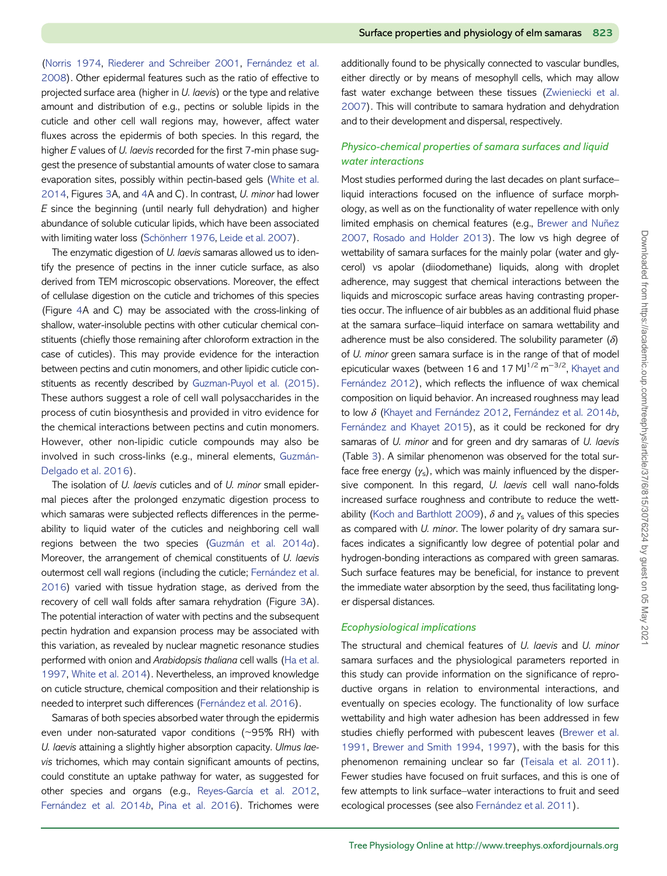([Norris 1974](#page-11-0), [Riederer and Schreiber 2001](#page-11-0), [Fernández et al.](#page-10-0) [2008](#page-10-0)). Other epidermal features such as the ratio of effective to projected surface area (higher in U. laevis) or the type and relative amount and distribution of e.g., pectins or soluble lipids in the cuticle and other cell wall regions may, however, affect water fluxes across the epidermis of both species. In this regard, the higher E values of U. laevis recorded for the first 7-min phase suggest the presence of substantial amounts of water close to samara evaporation sites, possibly within pectin-based gels ([White et al.](#page-11-0) [2014](#page-11-0), Figures [3A](#page-5-0), and [4A](#page-6-0) and C). In contrast, U. minor had lower E since the beginning (until nearly full dehydration) and higher abundance of soluble cuticular lipids, which have been associated with limiting water loss [\(Schönherr 1976,](#page-11-0) [Leide et al. 2007](#page-11-0)).

The enzymatic digestion of U. laevis samaras allowed us to identify the presence of pectins in the inner cuticle surface, as also derived from TEM microscopic observations. Moreover, the effect of cellulase digestion on the cuticle and trichomes of this species (Figure [4A](#page-6-0) and C) may be associated with the cross-linking of shallow, water-insoluble pectins with other cuticular chemical constituents (chiefly those remaining after chloroform extraction in the case of cuticles). This may provide evidence for the interaction between pectins and cutin monomers, and other lipidic cuticle constituents as recently described by [Guzman-Puyol et al. \(2015\).](#page-10-0) These authors suggest a role of cell wall polysaccharides in the process of cutin biosynthesis and provided in vitro evidence for the chemical interactions between pectins and cutin monomers. However, other non-lipidic cuticle compounds may also be involved in such cross-links (e.g., mineral elements, [Guzmán-](#page-10-0)[Delgado et al. 2016\)](#page-10-0).

The isolation of U. laevis cuticles and of U. minor small epidermal pieces after the prolonged enzymatic digestion process to which samaras were subjected reflects differences in the permeability to liquid water of the cuticles and neighboring cell wall regions between the two species [\(Guzmán et al. 2014](#page-10-0)a). Moreover, the arrangement of chemical constituents of U. laevis outermost cell wall regions (including the cuticle; [Fernández et al.](#page-10-0) [2016](#page-10-0)) varied with tissue hydration stage, as derived from the recovery of cell wall folds after samara rehydration (Figure [3A](#page-5-0)). The potential interaction of water with pectins and the subsequent pectin hydration and expansion process may be associated with this variation, as revealed by nuclear magnetic resonance studies performed with onion and Arabidopsis thaliana cell walls [\(Ha et al.](#page-10-0) [1997](#page-10-0), [White et al. 2014](#page-11-0)). Nevertheless, an improved knowledge on cuticle structure, chemical composition and their relationship is needed to interpret such differences ([Fernández et al. 2016](#page-10-0)).

Samaras of both species absorbed water through the epidermis even under non-saturated vapor conditions (~95% RH) with U. laevis attaining a slightly higher absorption capacity. Ulmus laevis trichomes, which may contain significant amounts of pectins, could constitute an uptake pathway for water, as suggested for other species and organs (e.g., [Reyes-García et al. 2012,](#page-11-0) [Fernández et al. 2014](#page-10-0)b, [Pina et al. 2016\)](#page-11-0). Trichomes were

additionally found to be physically connected to vascular bundles, either directly or by means of mesophyll cells, which may allow fast water exchange between these tissues ([Zwieniecki et al.](#page-11-0) [2007](#page-11-0)). This will contribute to samara hydration and dehydration and to their development and dispersal, respectively.

# Physico-chemical properties of samara surfaces and liquid water interactions

Most studies performed during the last decades on plant surface– liquid interactions focused on the influence of surface morphology, as well as on the functionality of water repellence with only limited emphasis on chemical features (e.g., [Brewer and Nuñez](#page-10-0) [2007](#page-10-0), [Rosado and Holder 2013\)](#page-11-0). The low vs high degree of wettability of samara surfaces for the mainly polar (water and glycerol) vs apolar (diiodomethane) liquids, along with droplet adherence, may suggest that chemical interactions between the liquids and microscopic surface areas having contrasting properties occur. The influence of air bubbles as an additional fluid phase at the samara surface–liquid interface on samara wettability and adherence must be also considered. The solubility parameter  $(\delta)$ of U. minor green samara surface is in the range of that of model epicuticular waxes (between 16 and 17 MJ<sup>1/2</sup> m<sup>-3/2</sup>, [Khayet and](#page-10-0) [Fernández 2012\)](#page-10-0), which reflects the influence of wax chemical composition on liquid behavior. An increased roughness may lead to low δ ([Khayet and Fernández 2012](#page-10-0), [Fernández et al. 2014](#page-10-0)b, [Fernández and Khayet 2015\)](#page-10-0), as it could be reckoned for dry samaras of U. minor and for green and dry samaras of U. laevis (Table [3\)](#page-6-0). A similar phenomenon was observed for the total surface free energy  $(y_s)$ , which was mainly influenced by the dispersive component. In this regard, U. laevis cell wall nano-folds increased surface roughness and contribute to reduce the wett-ability [\(Koch and Barthlott 2009\)](#page-10-0),  $\delta$  and  $\gamma_s$  values of this species as compared with U. minor. The lower polarity of dry samara surfaces indicates a significantly low degree of potential polar and hydrogen-bonding interactions as compared with green samaras. Such surface features may be beneficial, for instance to prevent the immediate water absorption by the seed, thus facilitating longer dispersal distances.

#### Ecophysiological implications

The structural and chemical features of U. laevis and U. minor samara surfaces and the physiological parameters reported in this study can provide information on the significance of reproductive organs in relation to environmental interactions, and eventually on species ecology. The functionality of low surface wettability and high water adhesion has been addressed in few studies chiefly performed with pubescent leaves ([Brewer et al.](#page-10-0) [1991,](#page-10-0) [Brewer and Smith 1994,](#page-10-0) [1997\)](#page-10-0), with the basis for this phenomenon remaining unclear so far ([Teisala et al. 2011\)](#page-11-0). Fewer studies have focused on fruit surfaces, and this is one of few attempts to link surface–water interactions to fruit and seed ecological processes (see also [Fernández et al. 2011](#page-10-0)).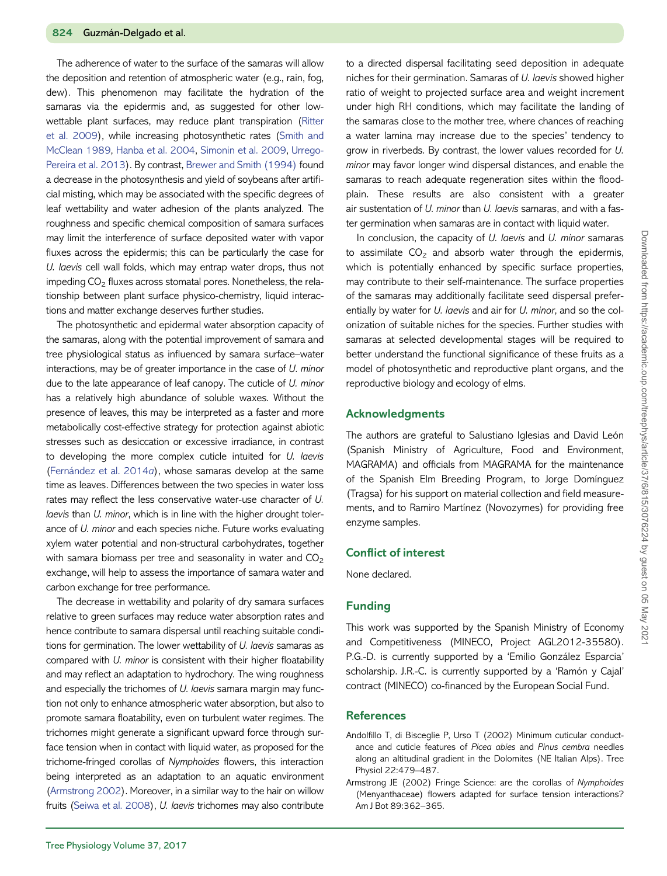<span id="page-9-0"></span>The adherence of water to the surface of the samaras will allow the deposition and retention of atmospheric water (e.g., rain, fog, dew). This phenomenon may facilitate the hydration of the samaras via the epidermis and, as suggested for other lowwettable plant surfaces, may reduce plant transpiration [\(Ritter](#page-11-0) [et al. 2009](#page-11-0)), while increasing photosynthetic rates ([Smith and](#page-11-0) [McClean 1989,](#page-11-0) [Hanba et al. 2004](#page-10-0), [Simonin et al. 2009,](#page-11-0) [Urrego-](#page-11-0)[Pereira et al. 2013](#page-11-0)). By contrast, [Brewer and Smith \(1994\)](#page-10-0) found a decrease in the photosynthesis and yield of soybeans after artificial misting, which may be associated with the specific degrees of leaf wettability and water adhesion of the plants analyzed. The roughness and specific chemical composition of samara surfaces may limit the interference of surface deposited water with vapor fluxes across the epidermis; this can be particularly the case for U. laevis cell wall folds, which may entrap water drops, thus not impeding  $CO<sub>2</sub>$  fluxes across stomatal pores. Nonetheless, the relationship between plant surface physico-chemistry, liquid interactions and matter exchange deserves further studies.

The photosynthetic and epidermal water absorption capacity of the samaras, along with the potential improvement of samara and tree physiological status as influenced by samara surface–water interactions, may be of greater importance in the case of U. minor due to the late appearance of leaf canopy. The cuticle of U. minor has a relatively high abundance of soluble waxes. Without the presence of leaves, this may be interpreted as a faster and more metabolically cost-effective strategy for protection against abiotic stresses such as desiccation or excessive irradiance, in contrast to developing the more complex cuticle intuited for U. laevis ([Fernández et al. 2014](#page-10-0)a), whose samaras develop at the same time as leaves. Differences between the two species in water loss rates may reflect the less conservative water-use character of U. laevis than U. minor, which is in line with the higher drought tolerance of U. minor and each species niche. Future works evaluating xylem water potential and non-structural carbohydrates, together with samara biomass per tree and seasonality in water and  $CO<sub>2</sub>$ exchange, will help to assess the importance of samara water and carbon exchange for tree performance.

The decrease in wettability and polarity of dry samara surfaces relative to green surfaces may reduce water absorption rates and hence contribute to samara dispersal until reaching suitable conditions for germination. The lower wettability of U. laevis samaras as compared with U. minor is consistent with their higher floatability and may reflect an adaptation to hydrochory. The wing roughness and especially the trichomes of U. laevis samara margin may function not only to enhance atmospheric water absorption, but also to promote samara floatability, even on turbulent water regimes. The trichomes might generate a significant upward force through surface tension when in contact with liquid water, as proposed for the trichome-fringed corollas of Nymphoides flowers, this interaction being interpreted as an adaptation to an aquatic environment (Armstrong 2002). Moreover, in a similar way to the hair on willow fruits [\(Seiwa et al. 2008](#page-11-0)), U. laevis trichomes may also contribute

to a directed dispersal facilitating seed deposition in adequate niches for their germination. Samaras of U. laevis showed higher ratio of weight to projected surface area and weight increment under high RH conditions, which may facilitate the landing of the samaras close to the mother tree, where chances of reaching a water lamina may increase due to the species' tendency to grow in riverbeds. By contrast, the lower values recorded for U. minor may favor longer wind dispersal distances, and enable the samaras to reach adequate regeneration sites within the floodplain. These results are also consistent with a greater air sustentation of U. minor than U. laevis samaras, and with a faster germination when samaras are in contact with liquid water.

In conclusion, the capacity of  $U$ . laevis and  $U$ . minor samaras to assimilate  $CO<sub>2</sub>$  and absorb water through the epidermis, which is potentially enhanced by specific surface properties, may contribute to their self-maintenance. The surface properties of the samaras may additionally facilitate seed dispersal preferentially by water for U. laevis and air for U. minor, and so the colonization of suitable niches for the species. Further studies with samaras at selected developmental stages will be required to better understand the functional significance of these fruits as a model of photosynthetic and reproductive plant organs, and the reproductive biology and ecology of elms.

#### Acknowledgments

The authors are grateful to Salustiano Iglesias and David León (Spanish Ministry of Agriculture, Food and Environment, MAGRAMA) and officials from MAGRAMA for the maintenance of the Spanish Elm Breeding Program, to Jorge Domínguez (Tragsa) for his support on material collection and field measurements, and to Ramiro Martínez (Novozymes) for providing free enzyme samples.

# Conflict of interest

None declared.

#### Funding

This work was supported by the Spanish Ministry of Economy and Competitiveness (MINECO, Project AGL2012-35580). P.G.-D. is currently supported by a 'Emilio González Esparcia' scholarship. J.R.-C. is currently supported by a 'Ramón y Cajal' contract (MINECO) co-financed by the European Social Fund.

#### **References**

- Andolfillo T, di Bisceglie P, Urso T (2002) Minimum cuticular conductance and cuticle features of Picea abies and Pinus cembra needles along an altitudinal gradient in the Dolomites (NE Italian Alps). Tree Physiol 22:479–487.
- Armstrong JE (2002) Fringe Science: are the corollas of Nymphoides (Menyanthaceae) flowers adapted for surface tension interactions? Am J Bot 89:362–365.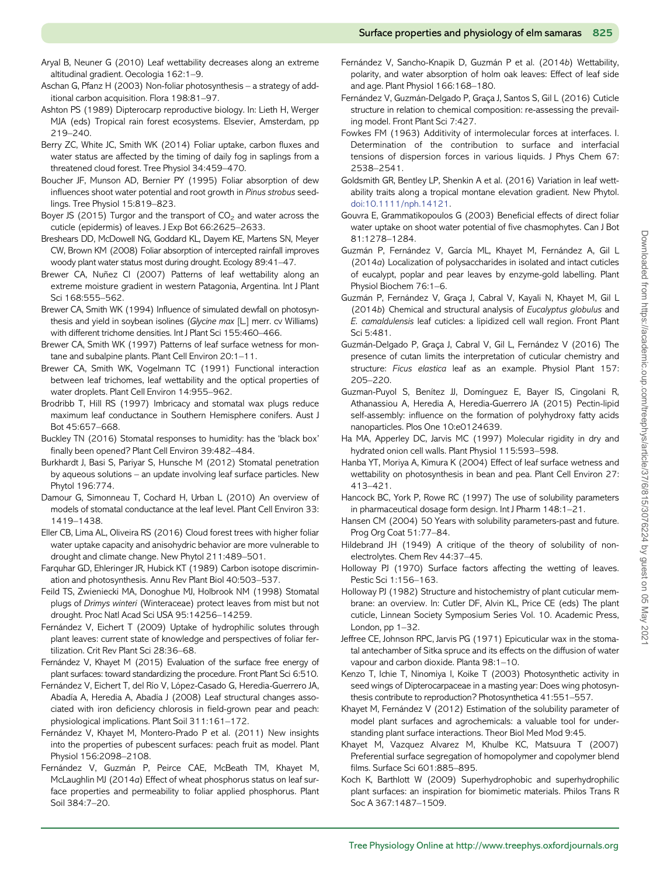- <span id="page-10-0"></span>Aryal B, Neuner G (2010) Leaf wettability decreases along an extreme altitudinal gradient. Oecologia 162:1–9.
- Aschan G, Pfanz H (2003) Non-foliar photosynthesis a strategy of additional carbon acquisition. Flora 198:81–97.
- Ashton PS (1989) Dipterocarp reproductive biology. In: Lieth H, Werger MJA (eds) Tropical rain forest ecosystems. Elsevier, Amsterdam, pp 219–240.
- Berry ZC, White JC, Smith WK (2014) Foliar uptake, carbon fluxes and water status are affected by the timing of daily fog in saplings from a threatened cloud forest. Tree Physiol 34:459–470.
- Boucher JF, Munson AD, Bernier PY (1995) Foliar absorption of dew influences shoot water potential and root growth in Pinus strobus seedlings. Tree Physiol 15:819–823.
- Boyer JS (2015) Turgor and the transport of  $CO<sub>2</sub>$  and water across the cuticle (epidermis) of leaves. J Exp Bot 66:2625–2633.
- Breshears DD, McDowell NG, Goddard KL, Dayem KE, Martens SN, Meyer CW, Brown KM (2008) Foliar absorption of intercepted rainfall improves woody plant water status most during drought. Ecology 89:41–47.
- Brewer CA, Nuñez CI (2007) Patterns of leaf wettability along an extreme moisture gradient in western Patagonia, Argentina. Int J Plant Sci 168:555–562.
- Brewer CA, Smith WK (1994) Influence of simulated dewfall on photosynthesis and yield in soybean isolines (Glycine max [L.] merr. cv Williams) with different trichome densities. Int J Plant Sci 155:460–466.
- Brewer CA, Smith WK (1997) Patterns of leaf surface wetness for montane and subalpine plants. Plant Cell Environ 20:1–11.
- Brewer CA, Smith WK, Vogelmann TC (1991) Functional interaction between leaf trichomes, leaf wettability and the optical properties of water droplets. Plant Cell Environ 14:955–962.
- Brodribb T, Hill RS (1997) Imbricacy and stomatal wax plugs reduce maximum leaf conductance in Southern Hemisphere conifers. Aust J Bot 45:657–668.
- Buckley TN (2016) Stomatal responses to humidity: has the 'black box' finally been opened? Plant Cell Environ 39:482–484.
- Burkhardt J, Basi S, Pariyar S, Hunsche M (2012) Stomatal penetration by aqueous solutions – an update involving leaf surface particles. New Phytol 196:774.
- Damour G, Simonneau T, Cochard H, Urban L (2010) An overview of models of stomatal conductance at the leaf level. Plant Cell Environ 33: 1419–1438.
- Eller CB, Lima AL, Oliveira RS (2016) Cloud forest trees with higher foliar water uptake capacity and anisohydric behavior are more vulnerable to drought and climate change. New Phytol 211:489–501.
- Farquhar GD, Ehleringer JR, Hubick KT (1989) Carbon isotope discrimination and photosynthesis. Annu Rev Plant Biol 40:503–537.
- Feild TS, Zwieniecki MA, Donoghue MJ, Holbrook NM (1998) Stomatal plugs of Drimys winteri (Winteraceae) protect leaves from mist but not drought. Proc Natl Acad Sci USA 95:14256–14259.
- Fernández V, Eichert T (2009) Uptake of hydrophilic solutes through plant leaves: current state of knowledge and perspectives of foliar fertilization. Crit Rev Plant Sci 28:36–68.
- Fernández V, Khayet M (2015) Evaluation of the surface free energy of plant surfaces: toward standardizing the procedure. Front Plant Sci 6:510.
- Fernández V, Eichert T, del Río V, López-Casado G, Heredia-Guerrero JA, Abadía A, Heredia A, Abadía J (2008) Leaf structural changes associated with iron deficiency chlorosis in field-grown pear and peach: physiological implications. Plant Soil 311:161–172.
- Fernández V, Khayet M, Montero-Prado P et al. (2011) New insights into the properties of pubescent surfaces: peach fruit as model. Plant Physiol 156:2098–2108.
- Fernández V, Guzmán P, Peirce CAE, McBeath TM, Khayet M, McLaughlin MJ (2014a) Effect of wheat phosphorus status on leaf surface properties and permeability to foliar applied phosphorus. Plant Soil 384:7–20.
- Fernández V, Sancho-Knapik D, Guzmán P et al. (2014b) Wettability, polarity, and water absorption of holm oak leaves: Effect of leaf side and age. Plant Physiol 166:168–180.
- Fernández V, Guzmán-Delgado P, Graça J, Santos S, Gil L (2016) Cuticle structure in relation to chemical composition: re-assessing the prevailing model. Front Plant Sci 7:427.
- Fowkes FM (1963) Additivity of intermolecular forces at interfaces. I. Determination of the contribution to surface and interfacial tensions of dispersion forces in various liquids. J Phys Chem 67: 2538–2541.
- Goldsmith GR, Bentley LP, Shenkin A et al. (2016) Variation in leaf wettability traits along a tropical montane elevation gradient. New Phytol. [doi:10.1111/nph.14121](http://dx.doi.org/10.1111/nph.14121).
- Gouvra E, Grammatikopoulos G (2003) Beneficial effects of direct foliar water uptake on shoot water potential of five chasmophytes. Can J Bot 81:1278–1284.
- Guzmán P, Fernández V, García ML, Khayet M, Fernández A, Gil L (2014a) Localization of polysaccharides in isolated and intact cuticles of eucalypt, poplar and pear leaves by enzyme-gold labelling. Plant Physiol Biochem 76:1–6.
- Guzmán P, Fernández V, Graça J, Cabral V, Kayali N, Khayet M, Gil L (2014b) Chemical and structural analysis of Eucalyptus globulus and E. camaldulensis leaf cuticles: a lipidized cell wall region. Front Plant Sci 5:481.
- Guzmán-Delgado P, Graça J, Cabral V, Gil L, Fernández V (2016) The presence of cutan limits the interpretation of cuticular chemistry and structure: Ficus elastica leaf as an example. Physiol Plant 157: 205–220.
- Guzman-Puyol S, Benítez JJ, Domínguez E, Bayer IS, Cingolani R, Athanassiou A, Heredia A, Heredia-Guerrero JA (2015) Pectin-lipid self-assembly: influence on the formation of polyhydroxy fatty acids nanoparticles. Plos One 10:e0124639.
- Ha MA, Apperley DC, Jarvis MC (1997) Molecular rigidity in dry and hydrated onion cell walls. Plant Physiol 115:593–598.
- Hanba YT, Moriya A, Kimura K (2004) Effect of leaf surface wetness and wettability on photosynthesis in bean and pea. Plant Cell Environ 27: 413–421.
- Hancock BC, York P, Rowe RC (1997) The use of solubility parameters in pharmaceutical dosage form design. Int J Pharm 148:1–21.
- Hansen CM (2004) 50 Years with solubility parameters-past and future. Prog Org Coat 51:77–84.
- Hildebrand JH (1949) A critique of the theory of solubility of nonelectrolytes. Chem Rev 44:37–45.
- Holloway PJ (1970) Surface factors affecting the wetting of leaves. Pestic Sci 1:156–163.
- Holloway PJ (1982) Structure and histochemistry of plant cuticular membrane: an overview. In: Cutler DF, Alvin KL, Price CE (eds) The plant cuticle, Linnean Society Symposium Series Vol. 10. Academic Press, London, pp 1–32.
- Jeffree CE, Johnson RPC, Jarvis PG (1971) Epicuticular wax in the stomatal antechamber of Sitka spruce and its effects on the diffusion of water vapour and carbon dioxide. Planta 98:1–10.
- Kenzo T, Ichie T, Ninomiya I, Koike T (2003) Photosynthetic activity in seed wings of Dipterocarpaceae in a masting year: Does wing photosynthesis contribute to reproduction? Photosynthetica 41:551–557.
- Khayet M, Fernández V (2012) Estimation of the solubility parameter of model plant surfaces and agrochemicals: a valuable tool for understanding plant surface interactions. Theor Biol Med Mod 9:45.
- Khayet M, Vazquez Alvarez M, Khulbe KC, Matsuura T (2007) Preferential surface segregation of homopolymer and copolymer blend films. Surface Sci 601:885–895.
- Koch K, Barthlott W (2009) Superhydrophobic and superhydrophilic plant surfaces: an inspiration for biomimetic materials. Philos Trans R Soc A 367:1487–1509.